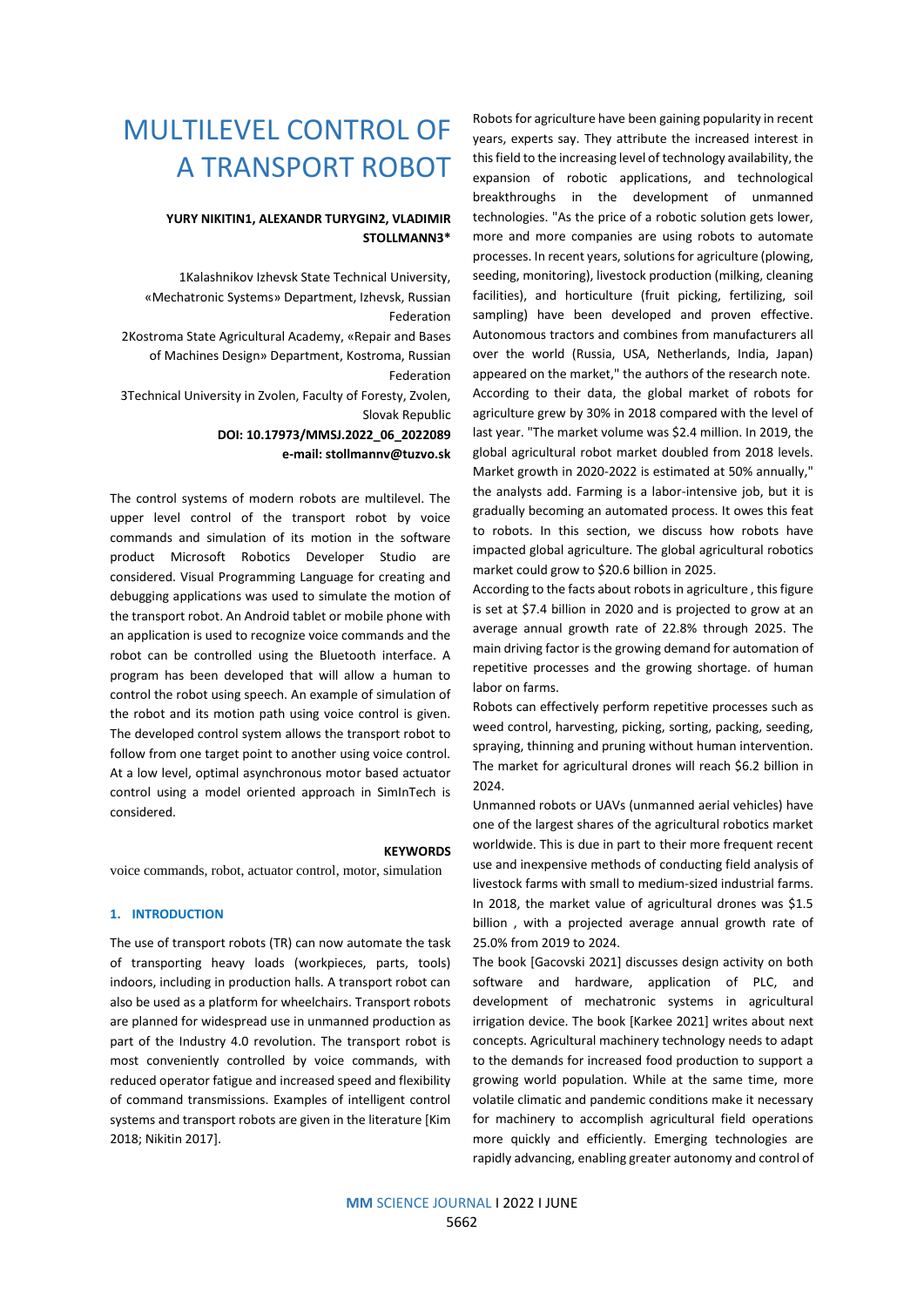# MULTILEVEL CONTROL OF A TRANSPORT ROBOT

# **YURY NIKITIN1, ALEXANDR TURYGIN2, VLADIMIR STOLLMANN3\***

1Kalashnikov Izhevsk State Technical University, «Mechatronic Systems» Department, Izhevsk, Russian Federation

2Kostroma State Agricultural Academy, «Repair and Bases of Machines Design» Department, Kostroma, Russian Federation

3Technical University in Zvolen, Faculty of Foresty, Zvolen, Slovak Republic

> **DOI: 10.17973/MMSJ.2022\_06\_2022089 e-mail: stollmannv@tuzvo.sk**

The control systems of modern robots are multilevel. The upper level control of the transport robot by voice commands and simulation of its motion in the software product Microsoft Robotics Developer Studio are considered. Visual Programming Language for creating and debugging applications was used to simulate the motion of the transport robot. An Android tablet or mobile phone with an application is used to recognize voice commands and the robot can be controlled using the Bluetooth interface. A program has been developed that will allow a human to control the robot using speech. An example of simulation of the robot and its motion path using voice control is given. The developed control system allows the transport robot to follow from one target point to another using voice control. At a low level, optimal asynchronous motor based actuator control using a model oriented approach in SimInTech is considered.

voice commands, robot, actuator control, motor, simulation

# **1. INTRODUCTION**

The use of transport robots (TR) can now automate the task of transporting heavy loads (workpieces, parts, tools) indoors, including in production halls. A transport robot can also be used as a platform for wheelchairs. Transport robots are planned for widespread use in unmanned production as part of the Industry 4.0 revolution. The transport robot is most conveniently controlled by voice commands, with reduced operator fatigue and increased speed and flexibility of command transmissions. Examples of intelligent control systems and transport robots are given in the literature [Kim 2018; Nikitin 2017].

Robots for agriculture have been gaining popularity in recent years, experts say. They attribute the increased interest in this field to the increasing level of technology availability, the expansion of robotic applications, and technological breakthroughs in the development of unmanned technologies. "As the price of a robotic solution gets lower, more and more companies are using robots to automate processes. In recent years, solutions for agriculture (plowing, seeding, monitoring), livestock production (milking, cleaning facilities), and horticulture (fruit picking, fertilizing, soil sampling) have been developed and proven effective. Autonomous tractors and combines from manufacturers all over the world (Russia, USA, Netherlands, India, Japan) appeared on the market," the authors of the research note. According to their data, the global market of robots for agriculture grew by 30% in 2018 compared with the level of last year. "The market volume was \$2.4 million. In 2019, the global agricultural robot market doubled from 2018 levels. Market growth in 2020-2022 is estimated at 50% annually," the analysts add. Farming is a labor-intensive job, but it is gradually becoming an automated process. It owes this feat to robots. In this section, we discuss how robots have impacted global agriculture. The global agricultural robotics market could grow to \$20.6 billion in 2025.

According to the facts about robots in agriculture , this figure is set at \$7.4 billion in 2020 and is projected to grow at an average annual growth rate of 22.8% through 2025. The main driving factor is the growing demand for automation of repetitive processes and the growing shortage. of human labor on farms.

Robots can effectively perform repetitive processes such as weed control, harvesting, picking, sorting, packing, seeding, spraying, thinning and pruning without human intervention. The market for agricultural drones will reach \$6.2 billion in 2024.

Unmanned robots or UAVs (unmanned aerial vehicles) have one of the largest shares of the agricultural robotics market worldwide. This is due in part to their more frequent recent use and inexpensive methods of conducting field analysis of livestock farms with small to medium-sized industrial farms. In 2018, the market value of agricultural drones was \$1.5 billion , with a projected average annual growth rate of 25.0% from 2019 to 2024.

The book [Gacovski 2021] discusses design activity on both software and hardware, application of PLC, and development of mechatronic systems in agricultural irrigation device. The book [Karkee 2021] writes about next concepts. Agricultural machinery technology needs to adapt to the demands for increased food production to support a growing world population. While at the same time, more volatile climatic and pandemic conditions make it necessary for machinery to accomplish agricultural field operations more quickly and efficiently. Emerging technologies are rapidly advancing, enabling greater autonomy and control of

**KEYWORDS**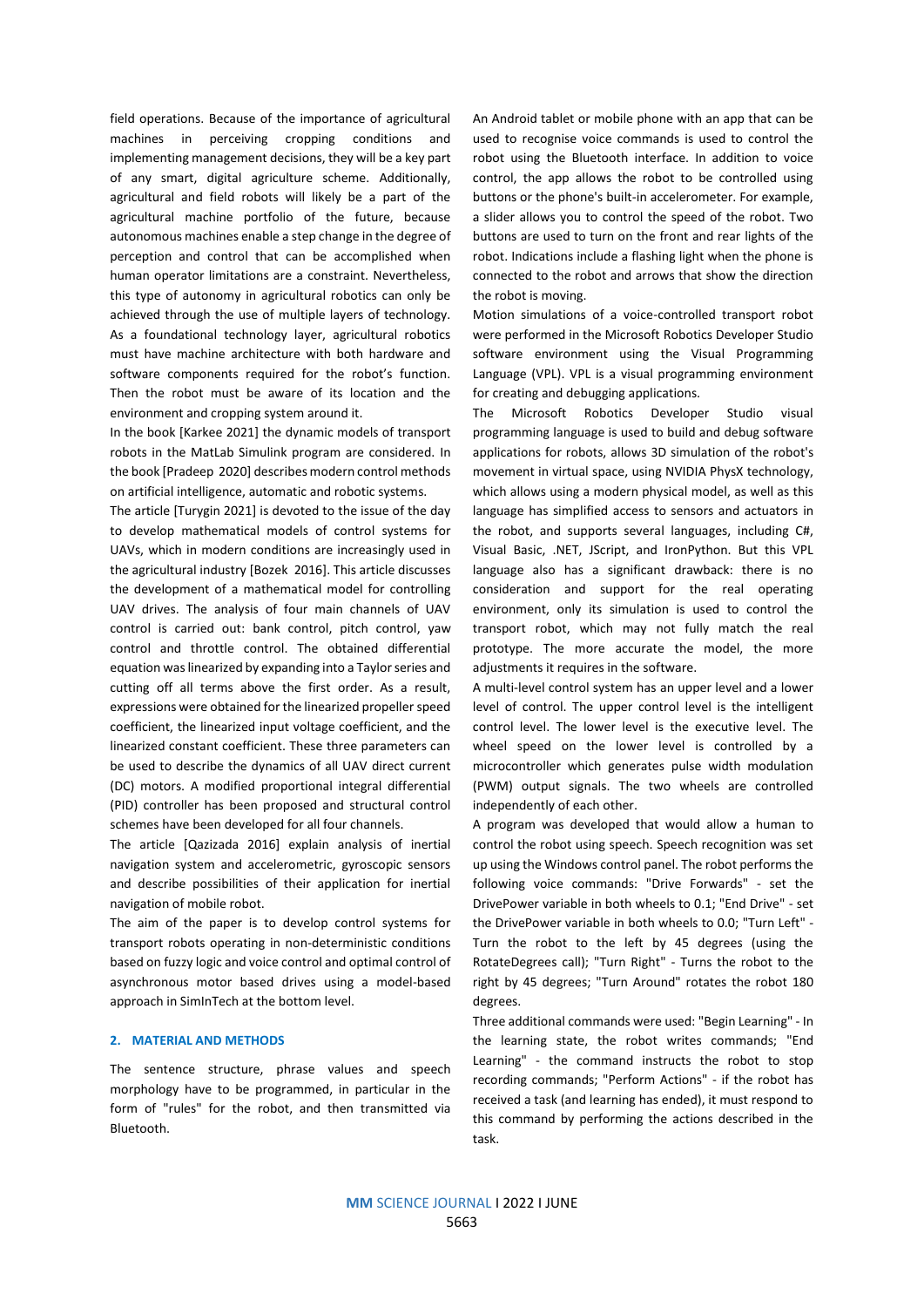field operations. Because of the importance of agricultural machines in perceiving cropping conditions and implementing management decisions, they will be a key part of any smart, digital agriculture scheme. Additionally, agricultural and field robots will likely be a part of the agricultural machine portfolio of the future, because autonomous machines enable a step change in the degree of perception and control that can be accomplished when human operator limitations are a constraint. Nevertheless, this type of autonomy in agricultural robotics can only be achieved through the use of multiple layers of technology. As a foundational technology layer, agricultural robotics must have machine architecture with both hardware and software components required for the robot's function. Then the robot must be aware of its location and the environment and cropping system around it.

In the book [Karkee 2021] the dynamic models of transport robots in the MatLab Simulink program are considered. In the book [Pradeep 2020] describes modern control methods on artificial intelligence, automatic and robotic systems.

The article [Turygin 2021] is devoted to the issue of the day to develop mathematical models of control systems for UAVs, which in modern conditions are increasingly used in the agricultural industry [Bozek 2016]. This article discusses the development of a mathematical model for controlling UAV drives. The analysis of four main channels of UAV control is carried out: bank control, pitch control, yaw control and throttle control. The obtained differential equation was linearized by expanding into a Taylor series and cutting off all terms above the first order. As a result, expressions were obtained for the linearized propeller speed coefficient, the linearized input voltage coefficient, and the linearized constant coefficient. These three parameters can be used to describe the dynamics of all UAV direct current (DC) motors. A modified proportional integral differential (PID) controller has been proposed and structural control schemes have been developed for all four channels.

The article [Qazizada 2016] explain analysis of inertial navigation system and accelerometric, gyroscopic sensors and describe possibilities of their application for inertial navigation of mobile robot.

The aim of the paper is to develop control systems for transport robots operating in non-deterministic conditions based on fuzzy logic and voice control and optimal control of asynchronous motor based drives using a model-based approach in SimInTech at the bottom level.

#### **2. MATERIAL AND METHODS**

The sentence structure, phrase values and speech morphology have to be programmed, in particular in the form of "rules" for the robot, and then transmitted via Bluetooth.

An Android tablet or mobile phone with an app that can be used to recognise voice commands is used to control the robot using the Bluetooth interface. In addition to voice control, the app allows the robot to be controlled using buttons or the phone's built-in accelerometer. For example, a slider allows you to control the speed of the robot. Two buttons are used to turn on the front and rear lights of the robot. Indications include a flashing light when the phone is connected to the robot and arrows that show the direction the robot is moving.

Motion simulations of a voice-controlled transport robot were performed in the Microsoft Robotics Developer Studio software environment using the Visual Programming Language (VPL). VPL is a visual programming environment for creating and debugging applications.

The Microsoft Robotics Developer Studio visual programming language is used to build and debug software applications for robots, allows 3D simulation of the robot's movement in virtual space, using NVIDIA PhysX technology, which allows using a modern physical model, as well as this language has simplified access to sensors and actuators in the robot, and supports several languages, including C#, Visual Basic, .NET, JScript, and IronPython. But this VPL language also has a significant drawback: there is no consideration and support for the real operating environment, only its simulation is used to control the transport robot, which may not fully match the real prototype. The more accurate the model, the more adjustments it requires in the software.

A multi-level control system has an upper level and a lower level of control. The upper control level is the intelligent control level. The lower level is the executive level. The wheel speed on the lower level is controlled by a microcontroller which generates pulse width modulation (PWM) output signals. The two wheels are controlled independently of each other.

A program was developed that would allow a human to control the robot using speech. Speech recognition was set up using the Windows control panel. The robot performs the following voice commands: "Drive Forwards" - set the DrivePower variable in both wheels to 0.1; "End Drive" - set the DrivePower variable in both wheels to 0.0; "Turn Left" - Turn the robot to the left by 45 degrees (using the RotateDegrees call); "Turn Right" - Turns the robot to the right by 45 degrees; "Turn Around" rotates the robot 180 degrees.

Three additional commands were used: "Begin Learning" - In the learning state, the robot writes commands; "End Learning" - the command instructs the robot to stop recording commands; "Perform Actions" - if the robot has received a task (and learning has ended), it must respond to this command by performing the actions described in the task.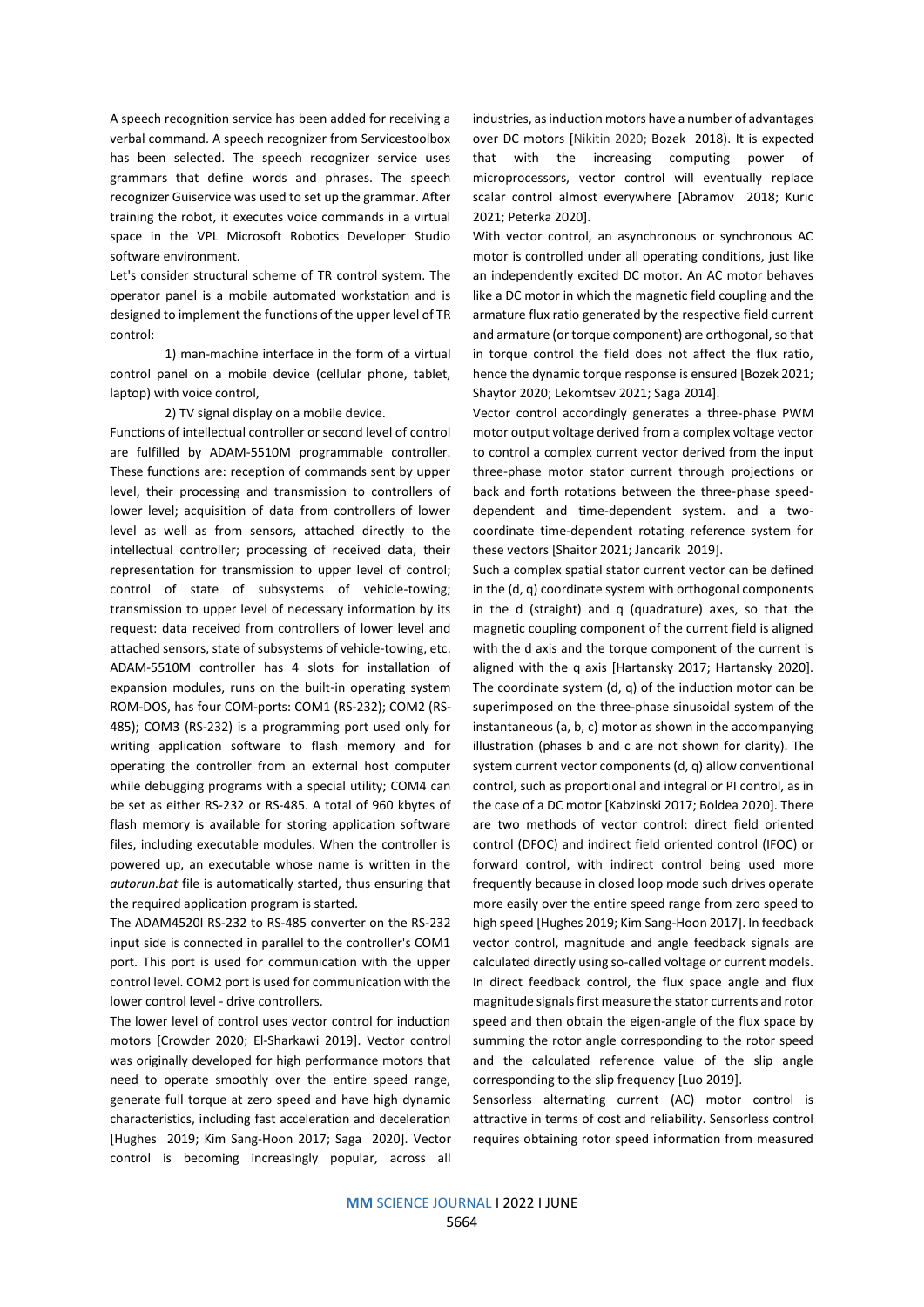A speech recognition service has been added for receiving a verbal command. A speech recognizer from Servicestoolbox has been selected. The speech recognizer service uses grammars that define words and phrases. The speech recognizer Guiservice was used to set up the grammar. After training the robot, it executes voice commands in a virtual space in the VPL Microsoft Robotics Developer Studio software environment.

Let's consider structural scheme of TR control system. The operator panel is a mobile automated workstation and is designed to implement the functions of the upper level of TR control:

1) man-machine interface in the form of a virtual control panel on a mobile device (cellular phone, tablet, laptop) with voice control,

2) TV signal display on a mobile device.

Functions of intellectual controller or second level of control are fulfilled by ADAM-5510M programmable controller. These functions are: reception of commands sent by upper level, their processing and transmission to controllers of lower level; acquisition of data from controllers of lower level as well as from sensors, attached directly to the intellectual controller; processing of received data, their representation for transmission to upper level of control; control of state of subsystems of vehicle-towing; transmission to upper level of necessary information by its request: data received from controllers of lower level and attached sensors, state of subsystems of vehicle-towing, etc. ADAM-5510M controller has 4 slots for installation of expansion modules, runs on the built-in operating system ROM-DOS, has four COM-ports: COM1 (RS-232); COM2 (RS-485); COM3 (RS-232) is a programming port used only for writing application software to flash memory and for operating the controller from an external host computer while debugging programs with a special utility; COM4 can be set as either RS-232 or RS-485. A total of 960 kbytes of flash memory is available for storing application software files, including executable modules. When the controller is powered up, an executable whose name is written in the *autorun.bat* file is automatically started, thus ensuring that the required application program is started.

The ADAM4520I RS-232 to RS-485 converter on the RS-232 input side is connected in parallel to the controller's COM1 port. This port is used for communication with the upper control level. COM2 port is used for communication with the lower control level - drive controllers.

The lower level of control uses vector control for induction motors [Crowder 2020; El-Sharkawi 2019]. Vector control was originally developed for high performance motors that need to operate smoothly over the entire speed range, generate full torque at zero speed and have high dynamic characteristics, including fast acceleration and deceleration [Hughes 2019; Kim Sang-Hoon 2017; Saga 2020]. Vector control is becoming increasingly popular, across all

industries, as induction motors have a number of advantages over DC motors [Nikitin 2020; Bozek 2018). It is expected that with the increasing computing power of microprocessors, vector control will eventually replace scalar control almost everywhere [Abramov 2018; Kuric 2021; Peterka 2020].

With vector control, an asynchronous or synchronous AC motor is controlled under all operating conditions, just like an independently excited DC motor. An AC motor behaves like a DC motor in which the magnetic field coupling and the armature flux ratio generated by the respective field current and armature (or torque component) are orthogonal, so that in torque control the field does not affect the flux ratio, hence the dynamic torque response is ensured [Bozek 2021; Shaytor 2020; Lekomtsev 2021; Saga 2014].

Vector control accordingly generates a three-phase PWM motor output voltage derived from a complex voltage vector to control a complex current vector derived from the input three-phase motor stator current through projections or back and forth rotations between the three-phase speeddependent and time-dependent system. and a twocoordinate time-dependent rotating reference system for these vectors [Shaitor 2021; Jancarik 2019].

Such a complex spatial stator current vector can be defined in the (d, q) coordinate system with orthogonal components in the d (straight) and q (quadrature) axes, so that the magnetic coupling component of the current field is aligned with the d axis and the torque component of the current is aligned with the q axis [Hartansky 2017; Hartansky 2020]. The coordinate system (d, q) of the induction motor can be superimposed on the three-phase sinusoidal system of the instantaneous (a, b, c) motor as shown in the accompanying illustration (phases b and c are not shown for clarity). The system current vector components (d, q) allow conventional control, such as proportional and integral or PI control, as in the case of a DC motor [Kabzinski 2017; Boldea 2020]. There are two methods of vector control: direct field oriented control (DFOC) and indirect field oriented control (IFOC) or forward control, with indirect control being used more frequently because in closed loop mode such drives operate more easily over the entire speed range from zero speed to high speed [Hughes 2019; Kim Sang-Hoon 2017]. In feedback vector control, magnitude and angle feedback signals are calculated directly using so-called voltage or current models. In direct feedback control, the flux space angle and flux magnitude signals first measure the stator currents and rotor speed and then obtain the eigen-angle of the flux space by summing the rotor angle corresponding to the rotor speed and the calculated reference value of the slip angle corresponding to the slip frequency [Luo 2019].

Sensorless alternating current (AC) motor control is attractive in terms of cost and reliability. Sensorless control requires obtaining rotor speed information from measured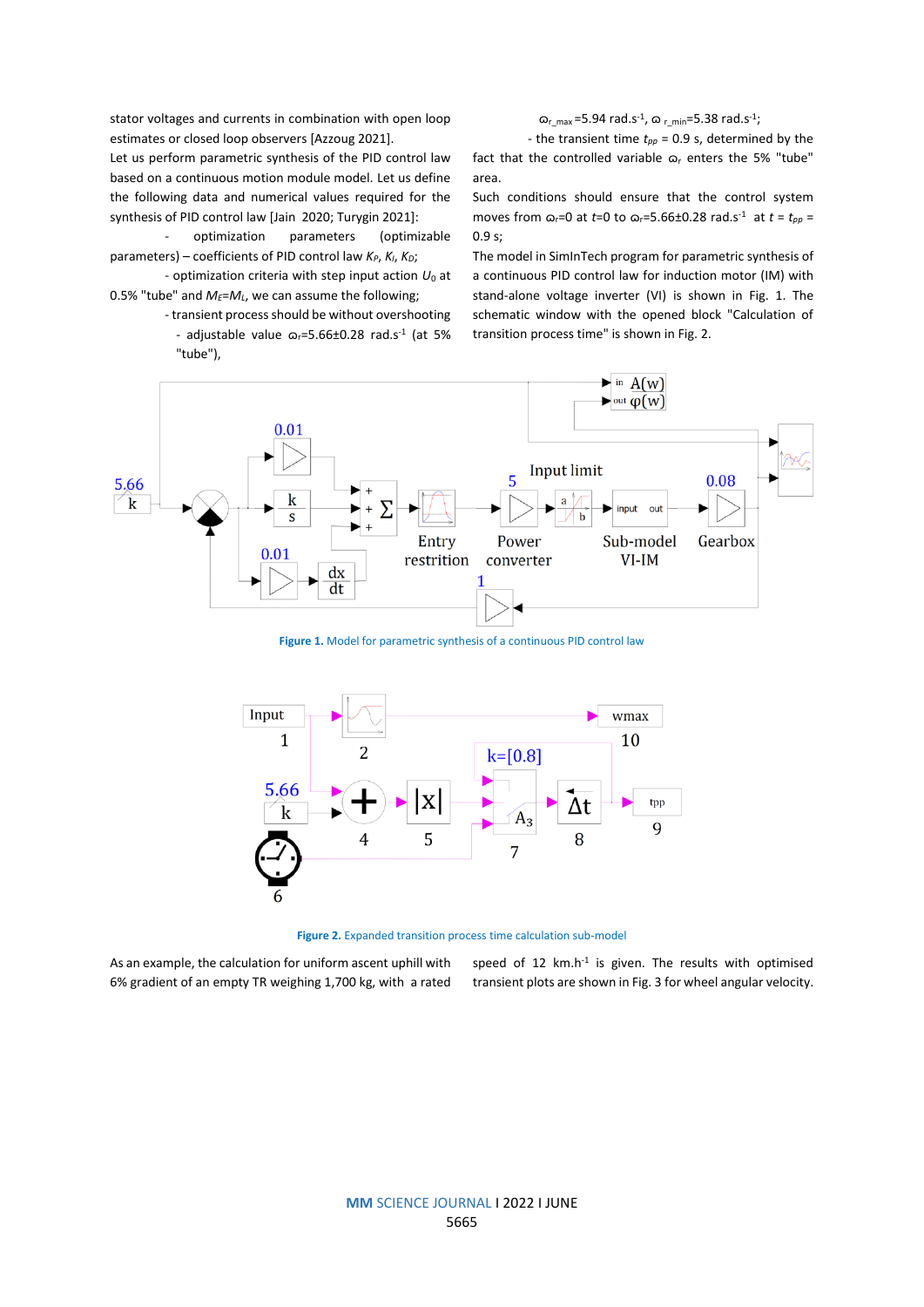stator voltages and currents in combination with open loop estimates or closed loop observers [Azzoug 2021].

Let us perform parametric synthesis of the PID control law based on a continuous motion module model. Let us define the following data and numerical values required for the synthesis of PID control law [Jain 2020; Turygin 2021]:

optimization parameters (optimizable parameters) – coefficients of PID control law *KP*, *KI*, *KD*;

- optimization criteria with step input action *U*<sup>0</sup> at 0.5% "tube" and  $M$ <sup>E</sup>= $M$ <sup>L</sup>, we can assume the following;

> - transient process should be without overshooting - adjustable value  $\varpi_r = 5.66 \pm 0.28$  rad.s<sup>-1</sup> (at 5% "tube"),

 $\omega_{r_{max}}$ =5.94 rad.s<sup>-1</sup>,  $\omega_{r_{min}}$ =5.38 rad.s<sup>-1</sup>;

- the transient time *tpp* = 0.9 s, determined by the fact that the controlled variable  $\varpi$ <sub>r</sub> enters the 5% "tube" area.

Such conditions should ensure that the control system moves from  $\omega_r=0$  at *t*=0 to  $\omega_r=5.66\pm0.28$  rad.s<sup>-1</sup> at *t* = *t*<sub>pp</sub> = 0.9 s;

The model in SimInTech program for parametric synthesis of a continuous PID control law for induction motor (IM) with stand-alone voltage inverter (VI) is shown in Fig. 1. The schematic window with the opened block "Calculation of transition process time" is shown in Fig. 2.



**Figure 1.** Model for parametric synthesis of a continuous PID control law



**Figure 2.** Expanded transition process time calculation sub-model

As an example, the calculation for uniform ascent uphill with 6% gradient of an empty TR weighing 1,700 kg, with a rated

speed of 12  $km.h^{-1}$  is given. The results with optimised transient plots are shown in Fig. 3 for wheel angular velocity.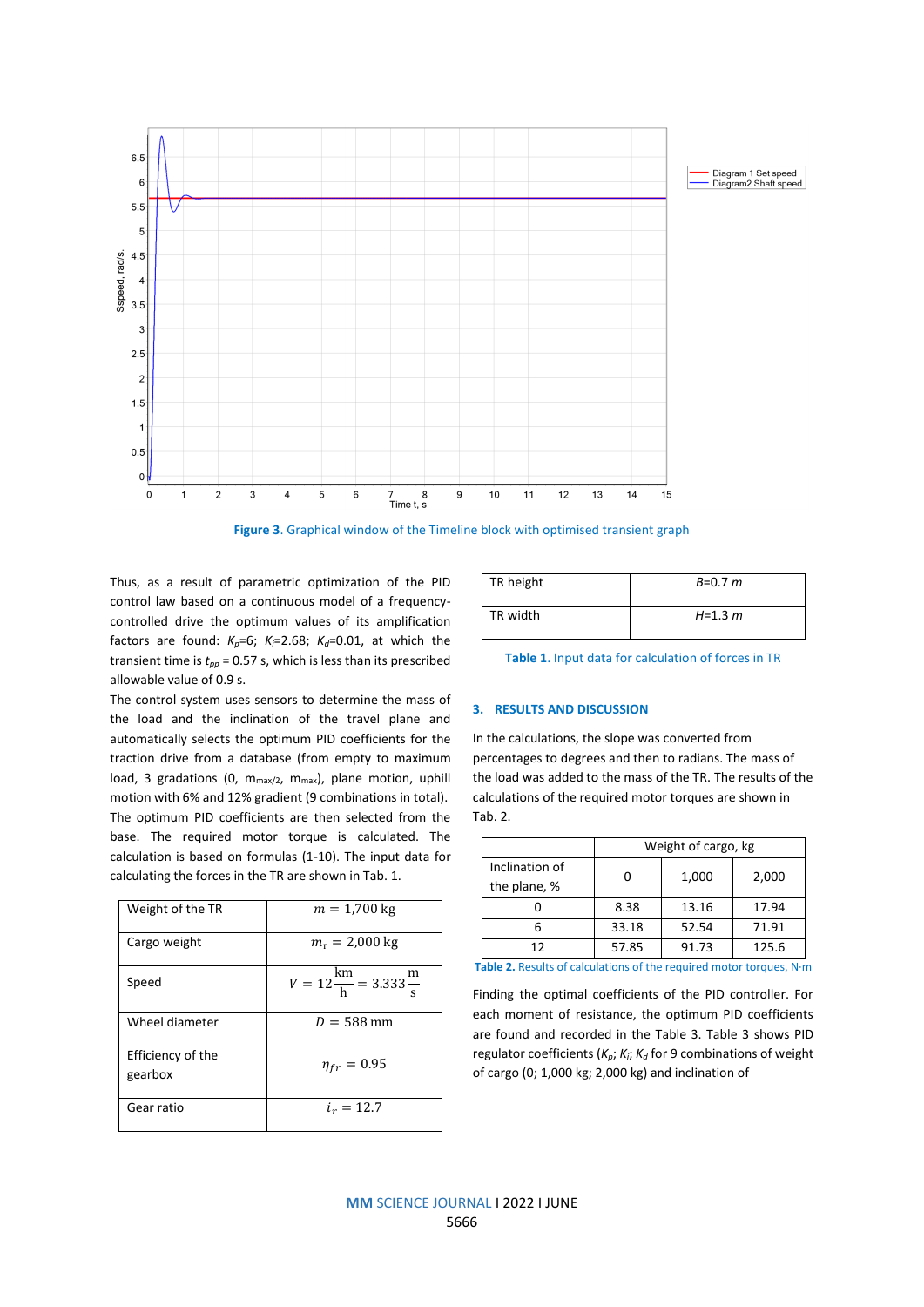

**Figure 3**. Graphical window of the Timeline block with optimised transient graph

Thus, as a result of parametric optimization of the PID control law based on a continuous model of a frequencycontrolled drive the optimum values of its amplification factors are found:  $K_p=6$ ;  $K_f=2.68$ ;  $K_d=0.01$ , at which the transient time is  $t_{pp}$  = 0.57 s, which is less than its prescribed allowable value of 0.9 s.

The control system uses sensors to determine the mass of the load and the inclination of the travel plane and automatically selects the optimum PID coefficients for the traction drive from a database (from empty to maximum load, 3 gradations (0,  $m_{max/2}$ ,  $m_{max}$ ), plane motion, uphill motion with 6% and 12% gradient (9 combinations in total). The optimum PID coefficients are then selected from the base. The required motor torque is calculated. The calculation is based on formulas (1-10). The input data for calculating the forces in the TR are shown in Tab. 1.

| Weight of the TR             | $m = 1,700 \text{ kg}$                                                |
|------------------------------|-----------------------------------------------------------------------|
| Cargo weight                 | $m_r = 2,000 \text{ kg}$                                              |
| Speed                        | $V = 12 \frac{\text{km}}{\text{h}} = 3.333 \frac{\text{m}}{\text{s}}$ |
| Wheel diameter               | $D = 588$ mm                                                          |
| Efficiency of the<br>gearbox | $\eta_{fr} = 0.95$                                                    |
| Gear ratio                   | $i_r = 12.7$                                                          |

| TR height | $B=0.7 m$   |
|-----------|-------------|
| TR width  | $H = 1.3 m$ |

**Table 1**. Input data for calculation of forces in TR

# **3. RESULTS AND DISCUSSION**

In the calculations, the slope was converted from percentages to degrees and then to radians. The mass of the load was added to the mass of the TR. The results of the calculations of the required motor torques are shown in Tab. 2.

|                                | Weight of cargo, kg |       |       |  |
|--------------------------------|---------------------|-------|-------|--|
| Inclination of<br>the plane, % |                     | 1,000 | 2,000 |  |
|                                | 8.38                | 13.16 | 17.94 |  |
|                                | 33.18               | 52.54 | 71.91 |  |
| 12                             | 57.85               | 91.73 | 125.6 |  |

**Table 2.** Results of calculations of the required motor torques, N∙m

Finding the optimal coefficients of the PID controller. For each moment of resistance, the optimum PID coefficients are found and recorded in the Table 3. Table 3 shows PID regulator coefficients (*Kp*; *Ki*; *K<sup>d</sup>* for 9 combinations of weight of cargo (0; 1,000 kg; 2,000 kg) and inclination of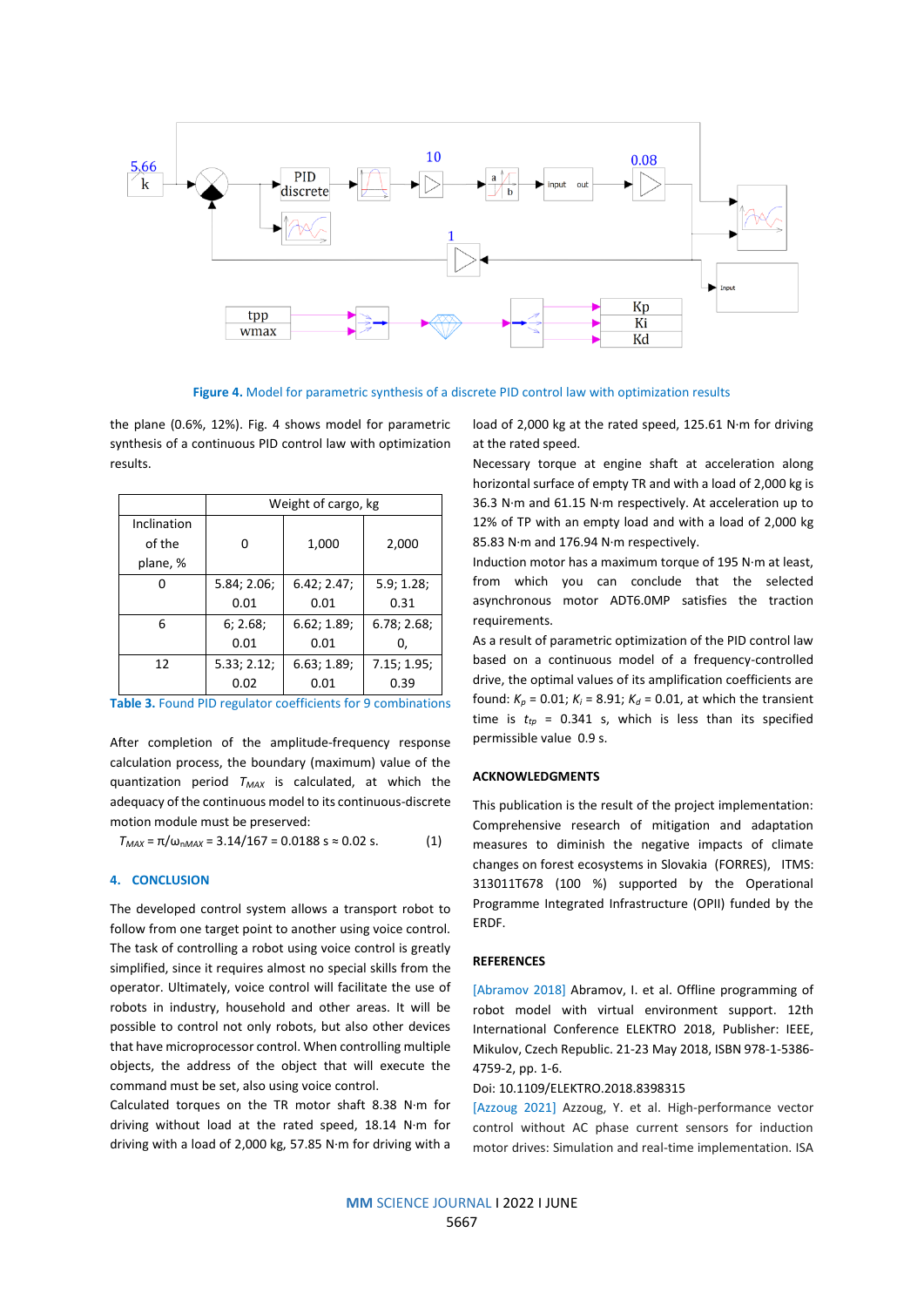

**Figure 4.** Model for parametric synthesis of a discrete PID control law with optimization results

the plane (0.6%, 12%). Fig. 4 shows model for parametric synthesis of a continuous PID control law with optimization results.

|             | Weight of cargo, kg |             |             |  |
|-------------|---------------------|-------------|-------------|--|
| Inclination |                     |             |             |  |
| of the      | ŋ                   | 1,000       | 2,000       |  |
| plane, %    |                     |             |             |  |
|             | 5.84; 2.06;         | 6.42; 2.47; | 5.9; 1.28;  |  |
|             | 0.01                | 0.01        | 0.31        |  |
| 6           | 6; 2.68;            | 6.62; 1.89; | 6.78; 2.68; |  |
|             | 0.01                | 0.01        | 0,          |  |
| 12          | 5.33; 2.12;         | 6.63; 1.89; | 7.15; 1.95; |  |
|             | 0.02                | 0.01        | 0.39        |  |

**Table 3.** Found PID regulator coefficients for 9 combinations

After completion of the amplitude-frequency response calculation process, the boundary (maximum) value of the quantization period *TMAX* is calculated, at which the adequacy of the continuous model to its continuous-discrete motion module must be preserved:

 $T_{MAX} = \pi / \omega_{nMAX} = 3.14/167 = 0.0188$  s  $\approx 0.02$  s. (1)

## **4. CONCLUSION**

The developed control system allows a transport robot to follow from one target point to another using voice control. The task of controlling a robot using voice control is greatly simplified, since it requires almost no special skills from the operator. Ultimately, voice control will facilitate the use of robots in industry, household and other areas. It will be possible to control not only robots, but also other devices that have microprocessor control. When controlling multiple objects, the address of the object that will execute the command must be set, also using voice control.

Calculated torques on the TR motor shaft 8.38 N∙m for driving without load at the rated speed, 18.14 N∙m for driving with a load of 2,000 kg, 57.85 N∙m for driving with a load of 2,000 kg at the rated speed, 125.61 N∙m for driving at the rated speed.

Necessary torque at engine shaft at acceleration along horizontal surface of empty TR and with a load of 2,000 kg is 36.3 N∙m and 61.15 N∙m respectively. At acceleration up to 12% of TP with an empty load and with a load of 2,000 kg 85.83 N∙m and 176.94 N∙m respectively.

Induction motor has a maximum torque of 195 N∙m at least, from which you can conclude that the selected asynchronous motor ADT6.0MP satisfies the traction requirements.

As a result of parametric optimization of the PID control law based on a continuous model of a frequency-controlled drive, the optimal values of its amplification coefficients are found:  $K_p = 0.01$ ;  $K_i = 8.91$ ;  $K_d = 0.01$ , at which the transient time is  $t_{tp}$  = 0.341 s, which is less than its specified permissible value 0.9 s.

# **ACKNOWLEDGMENTS**

This publication is the result of the project implementation: Comprehensive research of mitigation and adaptation measures to diminish the negative impacts of climate changes on forest ecosystems in Slovakia (FORRES), ITMS: 313011T678 (100 %) supported by the Operational Programme Integrated Infrastructure (OPII) funded by the ERDF.

# **REFERENCES**

[Abramov 2018] Abramov, I. et al. Offline programming of robot model with virtual environment support. 12th International Conference ELEKTRO 2018, Publisher: IEEE, Mikulov, Czech Republic. 21-23 May 2018, ISBN 978-1-5386- 4759-2, pp. 1-6.

#### Doi: 10.1109/ELEKTRO.2018.8398315

[Azzoug 2021] Azzoug, Y. et al. High-performance vector control without AC phase current sensors for induction motor drives: Simulation and real-time implementation. ISA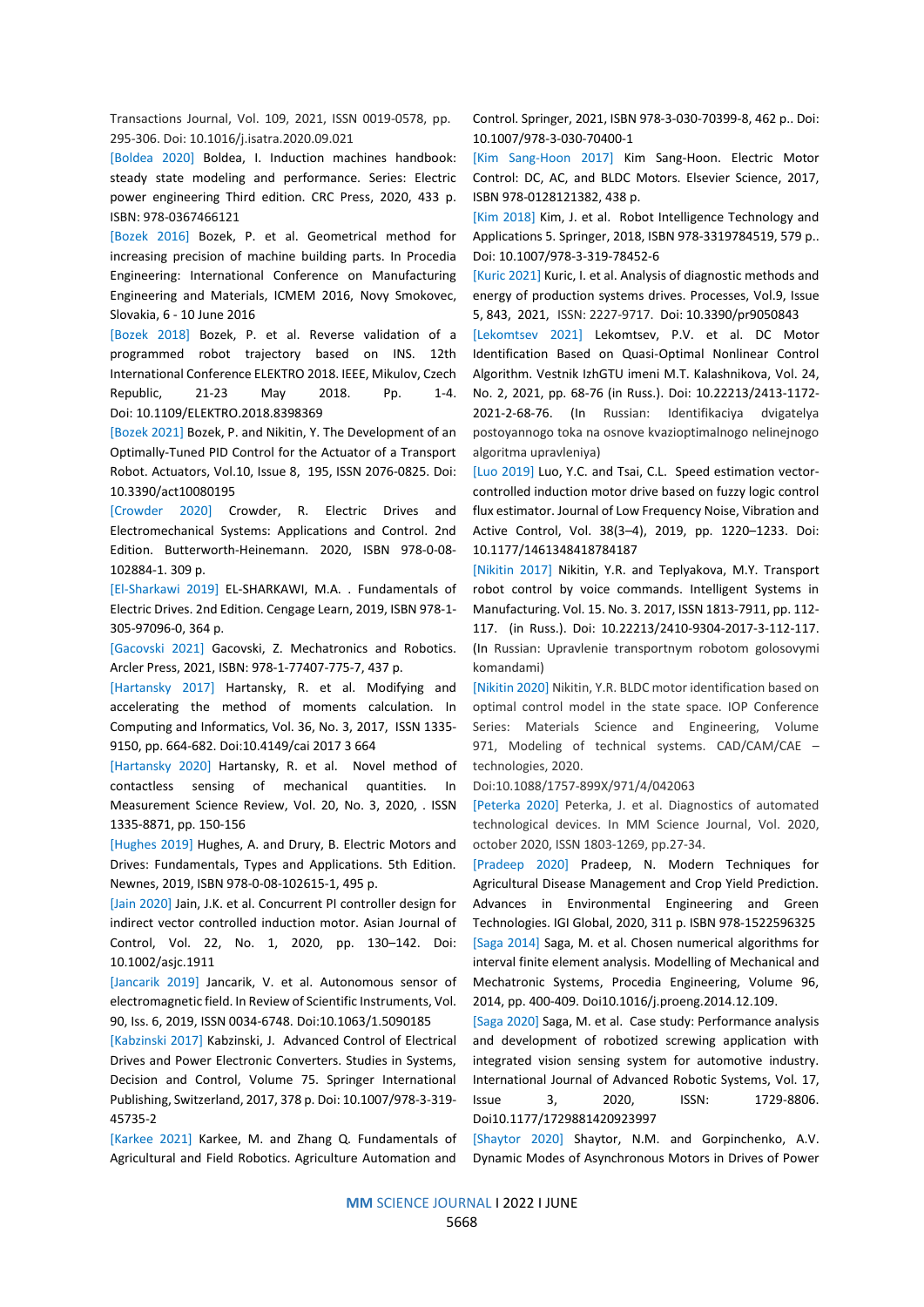Transactions Journal, Vol. 109, 2021, ISSN 0019-0578, pp. 295-306. Doi: 10.1016/j.isatra.2020.09.021

[Boldea 2020] Boldea, I. Induction machines handbook: steady state modeling and performance. Series: Electric power engineering Third edition. CRC Press, 2020, 433 p. ISBN: 978-0367466121

[Bozek 2016] Bozek, P. et al. Geometrical method for increasing precision of machine building parts. In Procedia Engineering: International Conference on Manufacturing Engineering and Materials, ICMEM 2016, Novy Smokovec, Slovakia, 6 - 10 June 2016

[Bozek 2018] Bozek, P. et al. Reverse validation of a programmed robot trajectory based on INS. 12th International Conference ELEKTRO 2018. IEEE, Mikulov, Czech Republic, 21-23 May 2018. Pp. 1-4. Doi: 10.1109/ELEKTRO.2018.8398369

[Bozek 2021] Bozek, P. and Nikitin, Y. The Development of an Optimally-Tuned PID Control for the Actuator of a Transport Robot. Actuators, Vol.10, Issue 8, 195, ISSN 2076-0825. Doi: 10.3390/act10080195

[Crowder 2020] Crowder, R. Electric Drives and Electromechanical Systems: Applications and Control. 2nd Edition. Butterworth-Heinemann. 2020, ISBN 978-0-08- 102884-1. 309 p.

[El-Sharkawi 2019] EL-SHARKAWI, M.A. . Fundamentals of Electric Drives. 2nd Edition. Cengage Learn, 2019, ISBN 978-1- 305-97096-0, 364 p.

[Gacovski 2021] Gacovski, Z. Mechatronics and Robotics. Arcler Press, 2021, ISBN: 978-1-77407-775-7, 437 p.

[Hartansky 2017] Hartansky, R. et al. Modifying and accelerating the method of moments calculation. In Computing and Informatics, Vol. 36, No. 3, 2017, ISSN 1335- 9150, pp. 664-682. Doi:10.4149/cai 2017 3 664

[Hartansky 2020] Hartansky, R. et al. Novel method of contactless sensing of mechanical quantities. In Measurement Science Review, Vol. 20, No. 3, 2020, . ISSN 1335-8871, pp. 150-156

[Hughes 2019] Hughes, A. and Drury, B. Electric Motors and Drives: Fundamentals, Types and Applications. 5th Edition. Newnes, 2019, ISBN 978-0-08-102615-1, 495 p.

[Jain 2020] Jain, J.K. et al. Concurrent PI controller design for indirect vector controlled induction motor. Asian Journal of Control, Vol. 22, No. 1, 2020, pp. 130–142. Doi: 10.1002/asjc.1911

[Jancarik 2019] Jancarik, V. et al. Autonomous sensor of electromagnetic field. In Review of Scientific Instruments, Vol. 90, Iss. 6, 2019, ISSN 0034-6748. Doi:10.1063/1.5090185

[Kabzinski 2017] Kabzinski, J. Advanced Control of Electrical Drives and Power Electronic Converters. Studies in Systems, Decision and Control, Volume 75. Springer International Publishing, Switzerland, 2017, 378 p. Doi: 10.1007/978-3-319- 45735-2

[Karkee 2021] Karkee, M. and Zhang Q. Fundamentals of Agricultural and Field Robotics. Agriculture Automation and

Control. Springer, 2021, ISBN 978-3-030-70399-8, 462 p.. Doi: 10.1007/978-3-030-70400-1

[Kim Sang-Hoon 2017] Kim Sang-Hoon. Electric Motor Control: DC, AC, and BLDC Motors. Elsevier Science, 2017, ISBN 978-0128121382, 438 р.

[Kim 2018] Kim, J. et al. Robot Intelligence Technology and Applications 5. Springer, 2018, ISBN 978-3319784519, 579 p.. Doi: 10.1007/978-3-319-78452-6

[Kuric 2021] Kuric, I. et al. Analysis of diagnostic methods and energy of production systems drives. Processes, Vol.9, Issue 5, 843, 2021, ISSN: 2227-9717. Doi: 10.3390/pr9050843

[Lekomtsev 2021] Lekomtsev, P.V. et al. DC Motor Identification Based on Quasi-Optimal Nonlinear Control Algorithm. Vestnik IzhGTU imeni M.T. Kalashnikova, Vol. 24, No. 2, 2021, pp. 68-76 (in Russ.). Doi: 10.22213/2413-1172- 2021-2-68-76. (In Russian: Identifikaciya dvigatelya postoyannogo toka na osnove kvazioptimalnogo nelinejnogo algoritma upravleniya)

[Luo 2019] Luo, Y.C. and Tsai, C.L. Speed estimation vectorcontrolled induction motor drive based on fuzzy logic control flux estimator. Journal of Low Frequency Noise, Vibration and Active Control, Vol. 38(3–4), 2019, pp. 1220–1233. Doi: 10.1177/1461348418784187

[Nikitin 2017] Nikitin, Y.R. and Teplyakova, M.Y. Transport robot control by voice commands. Intelligent Systems in Manufacturing. Vol. 15. No. 3. 2017, ISSN 1813-7911, pp. 112- 117. (in Russ.). Doi: 10.22213/2410-9304-2017-3-112-117. (In Russian: Upravlenie transportnym robotom golosovymi komandami)

[Nikitin 2020] Nikitin, Y.R. BLDC motor identification based on optimal control model in the state space. IOP Conference Series: Materials Science and Engineering, Volume 971, Modeling of technical systems. CAD/CAM/CAE – technologies, 2020.

Doi:10.1088/1757-899X/971/4/042063

[Peterka 2020] Peterka, J. et al. Diagnostics of automated technological devices. In MM Science Journal, Vol. 2020, october 2020, ISSN 1803-1269, pp.27-34.

[Pradeep 2020] Pradeep, N. Modern Techniques for Agricultural Disease Management and Crop Yield Prediction. Advances in Environmental Engineering and Green Technologies. IGI Global, 2020, 311 p. ISBN 978-1522596325 [Saga 2014] Saga, M. et al. Chosen numerical algorithms for interval finite element analysis. Modelling of Mechanical and Mechatronic Systems, Procedia Engineering, Volume 96, 2014, pp. 400-409. Doi10.1016/j.proeng.2014.12.109.

[Saga 2020] Saga, M. et al. Case study: Performance analysis and development of robotized screwing application with integrated vision sensing system for automotive industry. International Journal of Advanced Robotic Systems, Vol. 17, Issue 3, 2020, ISSN: 1729-8806. Doi10.1177/1729881420923997

[Shaytor 2020] Shaytor, N.M. and Gorpinchenko, A.V. Dynamic Modes of Asynchronous Motors in Drives of Power